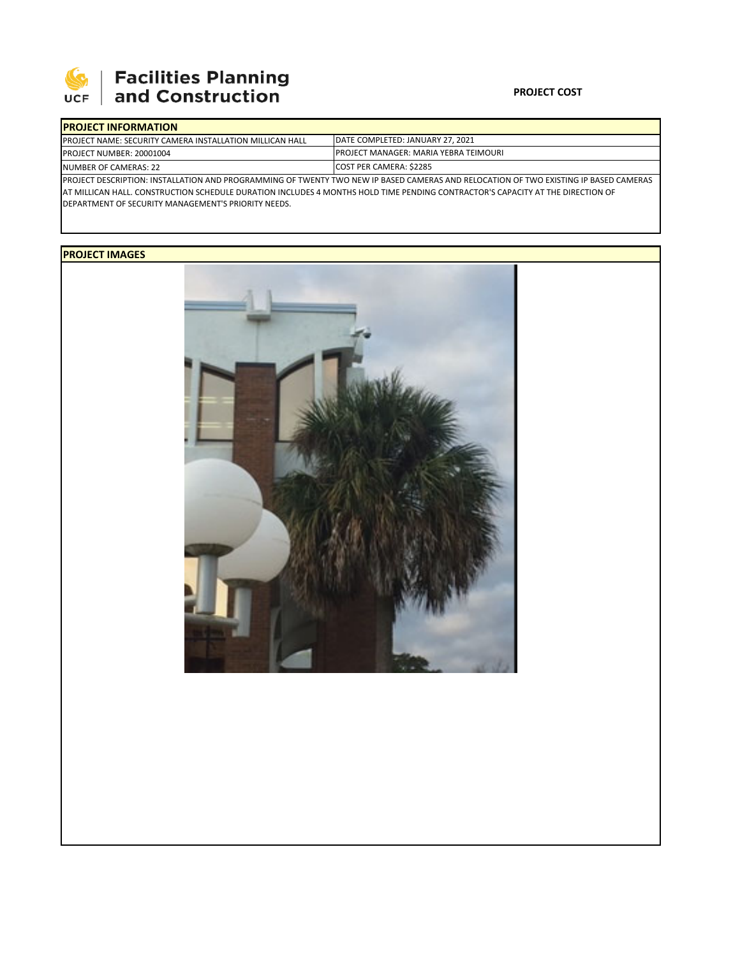

## **Facilities Planning**<br>and Construction

## **PROJECT COST**

| <b>IPROJECT INFORMATION</b>                                      |                                                                                                                                       |
|------------------------------------------------------------------|---------------------------------------------------------------------------------------------------------------------------------------|
| <b>IPROJECT NAME: SECURITY CAMERA INSTALLATION MILLICAN HALL</b> | DATE COMPLETED: JANUARY 27, 2021                                                                                                      |
| <b>IPROJECT NUMBER: 20001004</b>                                 | <b>PROJECT MANAGER: MARIA YEBRA TEIMOURI</b>                                                                                          |
| NUMBER OF CAMERAS: 22                                            | <b>COST PER CAMERA: \$2285</b>                                                                                                        |
|                                                                  | IPROJECT DESCRIPTION: INSTALLATION AND PROGRAMMING OF TWENTY TWO NEW IP BASED CAMERAS AND RELOCATION OF TWO EXISTING IP BASED CAMERAS |

AT MILLICAN HALL. CONSTRUCTION SCHEDULE DURATION INCLUDES 4 MONTHS HOLD TIME PENDING CONTRACTOR'S CAPACITY AT THE DIRECTION OF DEPARTMENT OF SECURITY MANAGEMENT'S PRIORITY NEEDS.

## **PROJECT IMAGES**